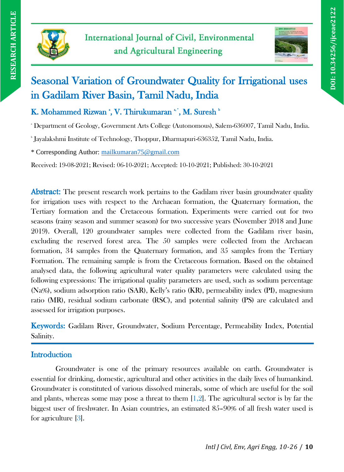



# Seasonal Variation of Groundwater Quality for Irrigational uses in Gadilam River Basin, Tamil Nadu, India

K. Mohammed Rizwan ', V. Thirukumaran '', M. Suresh '

<sup>a</sup> Department of Geology, Government Arts College (Autonomous), Salem-636007, Tamil Nadu, India.

b Jayalakshmi Institute of Technology, Thoppur, Dharmapuri-636352, Tamil Nadu, India.

\* Corresponding Author: [mailkumaran75@gmail.com](mailto:mailkumaran75@gmail.com)

Received: 19-08-2021; Revised: 06-10-2021; Accepted: 10-10-2021; Published: 30-10-2021

Abstract: The present research work pertains to the Gadilam river basin groundwater quality for irrigation uses with respect to the Archaean formation, the Quaternary formation, the Tertiary formation and the Cretaceous formation. Experiments were carried out for two seasons (rainy season and summer season) for two successive years (November 2018 and June 2019). Overall, 120 groundwater samples were collected from the Gadilam river basin, excluding the reserved forest area. The 50 samples were collected from the Archaean formation, 34 samples from the Quaternary formation, and 35 samples from the Tertiary Formation. The remaining sample is from the Cretaceous formation. Based on the obtained analysed data, the following agricultural water quality parameters were calculated using the following expressions: The irrigational quality parameters are used, such as sodium percentage (Na%), sodium adsorption ratio (SAR), Kelly's ratio (KR), permeability index (PI), magnesium ratio (MR), residual sodium carbonate (RSC), and potential salinity (PS) are calculated and assessed for irrigation purposes.

Keywords: Gadilam River, Groundwater, Sodium Percentage, Permeability Index, Potential Salinity.

# **Introduction**

Groundwater is one of the primary resources available on earth. Groundwater is essential for drinking, domestic, agricultural and other activities in the daily lives of humankind. Groundwater is constituted of various dissolved minerals, some of which are useful for the soil and plants, whereas some may pose a threat to them  $[1,2]$ . The agricultural sector is by far the biggest user of freshwater. In Asian countries, an estimated 85–90% of all fresh water used is for agriculture [3].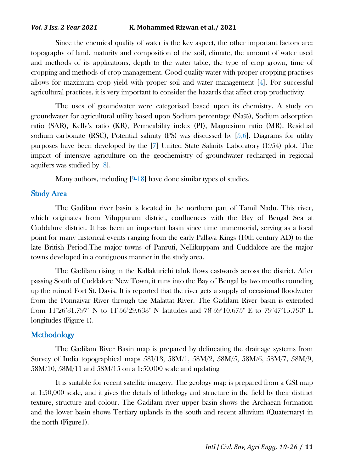### *Vol. 3 Iss. 2 Year 2021* **K. Mohammed Rizwan et al./ 2021**

Since the chemical quality of water is the key aspect, the other important factors are: topography of land, maturity and composition of the soil, climate, the amount of water used and methods of its applications, depth to the water table, the type of crop grown, time of cropping and methods of crop management. Good quality water with proper cropping practises allows for maximum crop yield with proper soil and water management [4]. For successful agricultural practices, it is very important to consider the hazards that affect crop productivity.

The uses of groundwater were categorised based upon its chemistry. A study on groundwater for agricultural utility based upon Sodium percentage (Na%), Sodium adsorption ratio (SAR), Kelly's ratio (KR), Permeability index (PI), Magnesium ratio (MR), Residual sodium carbonate (RSC), Potential salinity (PS) was discussed by [5,6]. Diagrams for utility purposes have been developed by the [7] United State Salinity Laboratory (1954) plot. The impact of intensive agriculture on the geochemistry of groundwater recharged in regional aquifers was studied by [8].

Many authors, including [9-18] have done similar types of studies.

### Study Area

The Gadilam river basin is located in the northern part of Tamil Nadu. This river, which originates from Viluppuram district, confluences with the Bay of Bengal Sea at Cuddalure district. It has been an important basin since time immemorial, serving as a focal point for many historical events ranging from the early Pallava Kings (10th century AD) to the late British Period.The major towns of Panruti, Nellikuppam and Cuddalore are the major towns developed in a contiguous manner in the study area.

The Gadilam rising in the Kallakurichi taluk flows eastwards across the district. After passing South of Cuddalore New Town, it runs into the Bay of Bengal by two mouths rounding up the ruined Fort St. Davis. It is reported that the river gets a supply of occasional floodwater from the Ponnaiyar River through the Malattat River. The Gadilam River basin is extended from 11°26'31.797" N to 11°56'29.633" N latitudes and 78°59'10.675" E to 79°47'15.793" E longitudes (Figure 1).

# **Methodology**

The Gadilam River Basin map is prepared by delineating the drainage systems from Survey of India topographical maps 58I/13, 58M/1, 58M/2, 58M/5, 58M/6, 58M/7, 58M/9, 58M/10, 58M/11 and 58M/15 on a 1:50,000 scale and updating

It is suitable for recent satellite imagery. The geology map is prepared from a GSI map at 1:50,000 scale, and it gives the details of lithology and structure in the field by their distinct texture, structure and colour. The Gadilam river upper basin shows the Archaean formation and the lower basin shows Tertiary uplands in the south and recent alluvium (Quaternary) in the north (Figure1).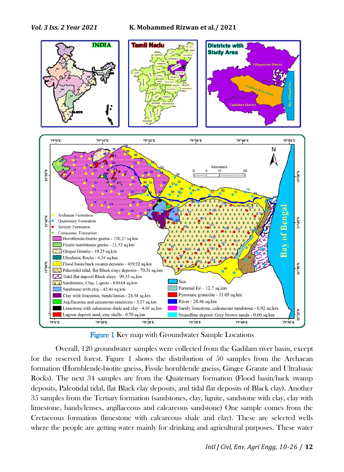



Figure 1 Key map with Groundwater Sample Locations

Overall, 120 groundwater samples were collected from the Gadilam river basin, except for the reserved forest. Figure 1 shows the distribution of 50 samples from the Archaean formation (Hornblende-biotite gneiss, Fissile hornblende gneiss, Gingee Granite and Ultrabasic Rocks). The next 34 samples are from the Quaternary formation (Flood basin/back swamp deposits, Paleotidal tidal, flat Black clay deposits, and tidal flat deposits of Black clay). Another 35 samples from the Tertiary formation (sandstones, clay, lignite, sandstone with clay, clay with limestone, bands/lenses, argillaceous and calcareous sandstone) One sample comes from the Cretaceous formation (limestone with calcareous shale and clay). These are selected wells where the people are getting water mainly for drinking and agricultural purposes. These water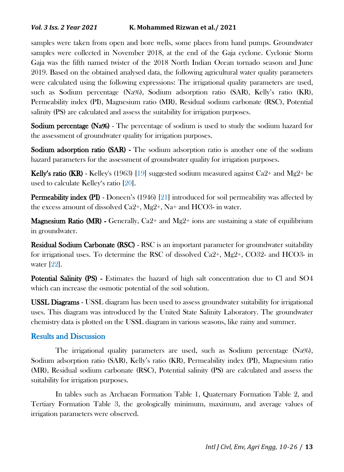samples were taken from open and bore wells, some places from hand pumps. Groundwater samples were collected in November 2018, at the end of the Gaja cyclone. Cyclonic Storm Gaja was the fifth named twister of the 2018 North Indian Ocean tornado season and June 2019. Based on the obtained analysed data, the following agricultural water quality parameters were calculated using the following expressions: The irrigational quality parameters are used, such as Sodium percentage (Na%), Sodium adsorption ratio (SAR), Kelly's ratio (KR), Permeability index (PI), Magnesium ratio (MR), Residual sodium carbonate (RSC), Potential salinity (PS) are calculated and assess the suitability for irrigation purposes.

Sodium percentage (Na%) - The percentage of sodium is used to study the sodium hazard for the assessment of groundwater quality for irrigation purposes.

Sodium adsorption ratio (SAR) - The sodium adsorption ratio is another one of the sodium hazard parameters for the assessment of groundwater quality for irrigation purposes.

**Kelly's ratio (KR)** - Kelley's (1963) [19] suggested sodium measured against Ca2+ and Mg2+ be used to calculate Kelley's ratio [20].

**Permeability index (PI)** - Doneen's (1946) [21] introduced for soil permeability was affected by the excess amount of dissolved  $Ca2+, Mg2+, Na+$  and HCO3- in water.

**Magnesium Ratio (MR)** - Generally,  $Ca2+$  and  $Mg2+$  ions are sustaining a state of equilibrium in groundwater.

Residual Sodium Carbonate (RSC) - RSC is an important parameter for groundwater suitability for irrigational uses. To determine the RSC of dissolved  $Ca2^+$ ,  $Mg2^+$ , CO32- and HCO3- in water [22].

Potential Salinity (PS) - Estimates the hazard of high salt concentration due to Cl and SO4 which can increase the osmotic potential of the soil solution.

USSL Diagrams - USSL diagram has been used to assess groundwater suitability for irrigational uses. This diagram was introduced by the United State Salinity Laboratory. The groundwater chemistry data is plotted on the USSL diagram in various seasons, like rainy and summer.

# Results and Discussion

The irrigational quality parameters are used, such as Sodium percentage (Na%), Sodium adsorption ratio (SAR), Kelly's ratio (KR), Permeability index (PI), Magnesium ratio (MR), Residual sodium carbonate (RSC), Potential salinity (PS) are calculated and assess the suitability for irrigation purposes.

In tables such as Archaean Formation Table 1, Quaternary Formation Table 2, and Tertiary Formation Table 3, the geologically minimum, maximum, and average values of irrigation parameters were observed.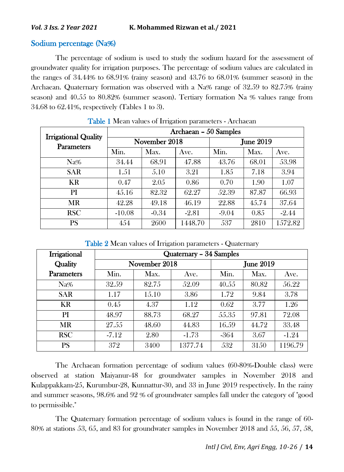# Sodium percentage (Na%)

The percentage of sodium is used to study the sodium hazard for the assessment of groundwater quality for irrigation purposes. The percentage of sodium values are calculated in the ranges of 34.44% to 68.91% (rainy season) and 43.76 to 68.01% (summer season) in the Archaean. Quaternary formation was observed with a Na% range of 32.59 to 82.75% (rainy season) and 40.55 to 80.82% (summer season). Tertiary formation Na % values range from 34.68 to 62.41%, respectively (Tables 1 to 3).

| <b>Irrigational Quality</b> | Archaean - 50 Samples |               |         |                  |       |         |  |  |  |
|-----------------------------|-----------------------|---------------|---------|------------------|-------|---------|--|--|--|
| <b>Parameters</b>           |                       | November 2018 |         | <b>June 2019</b> |       |         |  |  |  |
|                             | Min.                  | Max.          | Ave.    | Min.             | Max.  | Ave.    |  |  |  |
| Na%                         | 34.44                 | 68.91         | 47.88   | 43.76            | 68.01 | 53.98   |  |  |  |
| <b>SAR</b>                  | 1.51                  | 5.10          | 3.21    | 1.85             | 7.18  | 3.94    |  |  |  |
| KR                          | 0.47                  | 2.05          | 0.86    | 0.70             | 1.90  | 1.07    |  |  |  |
| PI                          | 45.16                 | 82.32         | 62.27   | 52.39            | 87.87 | 66.93   |  |  |  |
| MR                          | 42.28                 | 49.18         | 46.19   | 22.88            | 45.74 | 37.64   |  |  |  |
| <b>RSC</b>                  | $-10.08$              | $-0.34$       | $-2.81$ | $-9.04$          | 0.85  | $-2.44$ |  |  |  |
| PS                          | 454                   | 2600          | 1448.70 | 537              | 2810  | 1572.82 |  |  |  |

Table 1 Mean values of Irrigation parameters - Archaean

| Table 2 Mean values of Irrigation parameters - Quaternary |  |  |
|-----------------------------------------------------------|--|--|
|-----------------------------------------------------------|--|--|

| Irrigational      | Quaternary - 34 Samples |               |         |        |                  |         |
|-------------------|-------------------------|---------------|---------|--------|------------------|---------|
| Quality           |                         | November 2018 |         |        | <b>June 2019</b> |         |
| <b>Parameters</b> | Min.                    | Max.          | Ave.    | Min.   | Max.             | Ave.    |
| Na%               | 32.59                   | 82.75         | 52.09   | 40.55  | 80.82            | 56.22   |
| SAR               | 1.17                    | 15.10         | 3.86    | 1.72   | 9.84             | 3.78    |
| KR                | 0.45                    | 4.37          | 1.12    | 0.62   | 3.77             | 1.26    |
| PI                | 48.97                   | 88.73         | 68.27   | 55.35  | 97.81            | 72.08   |
| <b>MR</b>         | 27.55                   | 48.60         | 44.83   | 16.59  | 44.72            | 33.48   |
| <b>RSC</b>        | $-7.12$                 | 2.80          | $-1.73$ | $-364$ | 3.67             | $-1.24$ |
| <b>PS</b>         | 372                     | 3400          | 1377.74 | 532    | 31.50            | 1196.79 |

The Archaean formation percentage of sodium values (60-80%-Double class) were observed at station Maiyanur-48 for groundwater samples in November 2018 and Kulappakkam-25, Kurumbur-28, Kunnattur-30, and 33 in June 2019 respectively. In the rainy and summer seasons, 98.6% and 92 % of groundwater samples fall under the category of "good to permissible."

The Quaternary formation percentage of sodium values is found in the range of 60- 80% at stations 53, 65, and 83 for groundwater samples in November 2018 and 55, 56, 57, 58,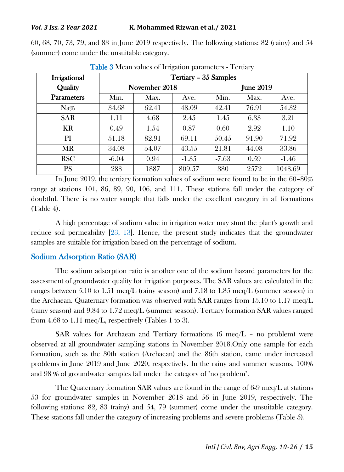60, 68, 70, 73, 79, and 83 in June 2019 respectively. The following stations: 82 (rainy) and 54 (summer) come under the unsuitable category.

| Irrigational      | Tertiary - 35 Samples |               |         |                  |       |         |  |
|-------------------|-----------------------|---------------|---------|------------------|-------|---------|--|
| Quality           |                       | November 2018 |         | <b>June 2019</b> |       |         |  |
| <b>Parameters</b> | Min.                  | Max.          | Ave.    | Min.             | Max.  | Ave.    |  |
| Na%               | 34.68                 | 62.41         | 48.09   | 42.41            | 76.91 | 54.32   |  |
| <b>SAR</b>        | 1.11                  | 4.68          | 2.45    | 1.45             | 6.33  | 3.21    |  |
| KR                | 0.49                  | 1.54          | 0.87    | 0.60             | 2.92  | 1.10    |  |
| PI                | 51.18                 | 82.91         | 69.11   | 50.45            | 91.90 | 71.92   |  |
| MR                | 34.08                 | 54.07         | 43.55   | 21.81            | 44.08 | 33.86   |  |
| <b>RSC</b>        | $-6.04$               | 0.94          | $-1.35$ | $-7.63$          | 0.59  | $-1.46$ |  |
| PS                | 288                   | 1887          | 809.57  | 380              | 2572  | 1048.69 |  |

Table 3 Mean values of Irrigation parameters - Tertiary

In June 2019, the tertiary formation values of sodium were found to be in the 60–80% range at stations 101, 86, 89, 90, 106, and 111. These stations fall under the category of doubtful. There is no water sample that falls under the excellent category in all formations (Table 4).

A high percentage of sodium value in irrigation water may stunt the plant's growth and reduce soil permeability [23, 13]. Hence, the present study indicates that the groundwater samples are suitable for irrigation based on the percentage of sodium.

### Sodium Adsorption Ratio (SAR)

The sodium adsorption ratio is another one of the sodium hazard parameters for the assessment of groundwater quality for irrigation purposes. The SAR values are calculated in the ranges between 5.10 to 1.51 meq/L (rainy season) and 7.18 to 1.85 meq/L (summer season) in the Archaean. Quaternary formation was observed with SAR ranges from 15.10 to 1.17 meg/L (rainy season) and 9.84 to 1.72 meq/L (summer season). Tertiary formation SAR values ranged from 4.68 to 1.11 meq/L, respectively (Tables 1 to 3).

SAR values for Archaean and Tertiary formations  $(6 \text{ meg/L} - \text{no problem})$  were observed at all groundwater sampling stations in November 2018.Only one sample for each formation, such as the 30th station (Archaean) and the 86th station, came under increased problems in June 2019 and June 2020, respectively. In the rainy and summer seasons, 100% and 98 % of groundwater samples fall under the category of "no problem".

The Quaternary formation SAR values are found in the range of 6-9 meq/L at stations 53 for groundwater samples in November 2018 and 56 in June 2019, respectively. The following stations: 82, 83 (rainy) and 54, 79 (summer) come under the unsuitable category. These stations fall under the category of increasing problems and severe problems (Table 5).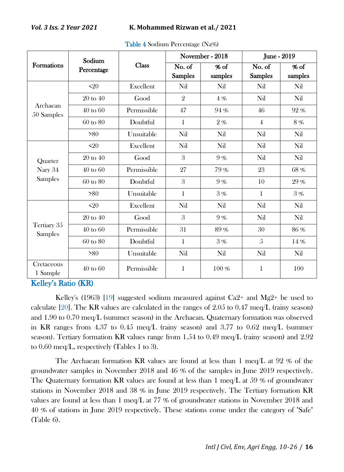|                                                                                                                                                                                                                                                                  |                     |              |                                                                                                                                                                                                                                                                                                                                                                                        |                 | June - 2019 |          |
|------------------------------------------------------------------------------------------------------------------------------------------------------------------------------------------------------------------------------------------------------------------|---------------------|--------------|----------------------------------------------------------------------------------------------------------------------------------------------------------------------------------------------------------------------------------------------------------------------------------------------------------------------------------------------------------------------------------------|-----------------|-------------|----------|
| <b>Formations</b>                                                                                                                                                                                                                                                | Percentage          | <b>Class</b> | November - 2018<br>No. of<br>No. of<br>% of<br><b>Samples</b><br>samples<br><b>Samples</b><br>Nil<br>Nil<br>Nil<br>2<br>4%<br>Nil<br>47<br>94 %<br>46<br>1<br>2%<br>4<br>Nil<br>Nil<br>Nil<br>Nil<br>Nil<br>Nil<br>3<br>9%<br>Nil<br>27<br>23<br>79 %<br>3<br>9%<br>10<br>1<br>3%<br>1<br>Nil<br>Nil<br>Nil<br>3<br>9%<br>Nil<br>31<br>30<br>89 %<br>3%<br>5<br>1<br>Nil<br>Nil<br>Nil | % of<br>samples |             |          |
|                                                                                                                                                                                                                                                                  | $\leq 20$           | Excellent    |                                                                                                                                                                                                                                                                                                                                                                                        |                 |             | Nil      |
|                                                                                                                                                                                                                                                                  | 20 to 40            | Good         |                                                                                                                                                                                                                                                                                                                                                                                        |                 |             | Nil      |
|                                                                                                                                                                                                                                                                  | $40$ to $60$        | Permissible  |                                                                                                                                                                                                                                                                                                                                                                                        |                 |             | 92 %     |
|                                                                                                                                                                                                                                                                  | $60 \text{ to } 80$ | Doubtful     |                                                                                                                                                                                                                                                                                                                                                                                        |                 |             | 8%       |
|                                                                                                                                                                                                                                                                  | >80                 | Unsuitable   |                                                                                                                                                                                                                                                                                                                                                                                        |                 |             | Nil      |
|                                                                                                                                                                                                                                                                  | $\leq 20$           | Excellent    |                                                                                                                                                                                                                                                                                                                                                                                        |                 |             | Nil      |
| Quarter                                                                                                                                                                                                                                                          | $20 \text{ to } 40$ | Good         |                                                                                                                                                                                                                                                                                                                                                                                        |                 |             | Nil      |
| Nary 34                                                                                                                                                                                                                                                          | $40 \text{ to } 60$ | Permissible  |                                                                                                                                                                                                                                                                                                                                                                                        |                 |             | $68~\%$  |
| Sodium<br>Archaean<br>50 Samples<br><b>Samples</b><br>60 to 80<br>>80<br>$\leq 20$<br>20 to 40<br>Tertiary 35<br>$40$ to $60$<br><b>Samples</b><br>$60 \text{ to } 80$<br>>80<br>Cretaceous<br>$40 \text{ to } 60$<br>1 Sample<br>.<br><b><i>Property A.</i></b> |                     | Doubtful     |                                                                                                                                                                                                                                                                                                                                                                                        |                 |             | 29 %     |
|                                                                                                                                                                                                                                                                  |                     | Unsuitable   |                                                                                                                                                                                                                                                                                                                                                                                        |                 | 1           | 3%       |
|                                                                                                                                                                                                                                                                  |                     | Excellent    |                                                                                                                                                                                                                                                                                                                                                                                        |                 |             | Nil      |
|                                                                                                                                                                                                                                                                  |                     | Good         |                                                                                                                                                                                                                                                                                                                                                                                        |                 |             | Nil      |
|                                                                                                                                                                                                                                                                  |                     | Permissible  |                                                                                                                                                                                                                                                                                                                                                                                        |                 |             | $86\,\%$ |
|                                                                                                                                                                                                                                                                  |                     | Doubtful     |                                                                                                                                                                                                                                                                                                                                                                                        |                 |             | 14 %     |
|                                                                                                                                                                                                                                                                  |                     | Unsuitable   |                                                                                                                                                                                                                                                                                                                                                                                        |                 |             | Nil      |
|                                                                                                                                                                                                                                                                  |                     | Permissible  | 1                                                                                                                                                                                                                                                                                                                                                                                      | 100 %           |             | 100      |

Table 4 Sodium Percentage (Na%)

Kelley's Ratio (KR)

Kelley's (1963) [19] suggested sodium measured against  $Ca2+$  and  $Mg2+$  be used to calculate [20]. The KR values are calculated in the ranges of  $2.05$  to  $0.47 \text{~meq/L}$  (rainy season) and 1.90 to 0.70 meq/L (summer season) in the Archaean. Quaternary formation was observed in KR ranges from 4.37 to 0.45 meq/L (rainy season) and 3.77 to 0.62 meq/L (summer season). Tertiary formation KR values range from 1.54 to 0.49 meq/L (rainy season) and 2.92 to 0.60 meq/L, respectively (Tables 1 to 3).

The Archaean formation KR values are found at less than 1 meq/L at 92  $\%$  of the groundwater samples in November 2018 and 46 % of the samples in June 2019 respectively. The Quaternary formation KR values are found at less than 1 meq/L at 59 % of groundwater stations in November 2018 and 38 % in June 2019 respectively. The Tertiary formation KR values are found at less than 1 meq/L at 77 % of groundwater stations in November 2018 and 40 % of stations in June 2019 respectively. These stations come under the category of "Safe" (Table 6).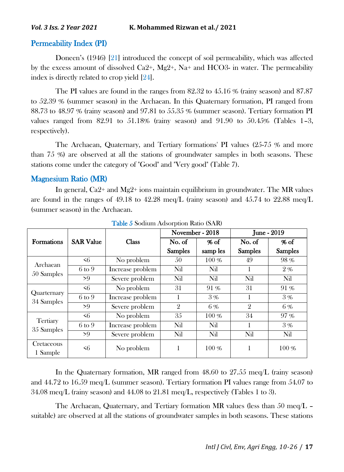### Permeability Index (PI)

Doneen's (1946) [21] introduced the concept of soil permeability, which was affected by the excess amount of dissolved Ca2+, Mg2+, Na+ and HCO3- in water. The permeability index is directly related to crop yield [24].

The PI values are found in the ranges from 82.32 to 45.16 % (rainy season) and 87.87 to 52.39 % (summer season) in the Archaean. In this Quaternary formation, PI ranged from 88.73 to 48.97 % (rainy season) and 97.81 to 55.35 % (summer season). Tertiary formation PI values ranged from  $82.91$  to  $51.18\%$  (rainy season) and  $91.90$  to  $50.45\%$  (Tables 1-3, respectively).

The Archaean, Quaternary, and Tertiary formations' PI values (25-75 % and more than 75 %) are observed at all the stations of groundwater samples in both seasons. These stations come under the category of "Good" and "Very good" (Table 7).

### Magnesium Ratio (MR)

In general, Ca2+ and Mg2+ ions maintain equilibrium in groundwater. The MR values are found in the ranges of 49.18 to 42.28 meq/L (rainy season) and  $45.74$  to  $22.88$  meq/L (summer season) in the Archaean.

| Formations                                                                                                                                                  |                   |                  |                                                                                                                                                                                                                                                                                                                                      |         | June - 2019 |                |
|-------------------------------------------------------------------------------------------------------------------------------------------------------------|-------------------|------------------|--------------------------------------------------------------------------------------------------------------------------------------------------------------------------------------------------------------------------------------------------------------------------------------------------------------------------------------|---------|-------------|----------------|
|                                                                                                                                                             | <b>SAR Value</b>  | <b>Class</b>     | November - 2018<br>No. of<br>No. of<br>% of<br><b>Samples</b><br><b>Samples</b><br>samp les<br>$100\%$<br>No problem<br>49<br>50<br>Nil<br>Nil<br>1<br>Nil<br>Nil<br>Nil<br>31<br>31<br>91 %<br>No problem<br>3%<br>1<br>1<br>$\mathcal{D}$<br>2<br>6 %<br>35<br>34<br>$100\%$<br>No problem<br>Nil<br>Nil<br>1<br>Nil<br>Nil<br>Nil | % of    |             |                |
|                                                                                                                                                             |                   |                  |                                                                                                                                                                                                                                                                                                                                      |         |             | <b>Samples</b> |
|                                                                                                                                                             | $\leq 6$          |                  |                                                                                                                                                                                                                                                                                                                                      |         |             | 98 %           |
|                                                                                                                                                             | $6 \text{ to } 9$ | Increase problem |                                                                                                                                                                                                                                                                                                                                      |         |             | 2%             |
|                                                                                                                                                             | >9                | Severe problem   |                                                                                                                                                                                                                                                                                                                                      |         |             | Nil            |
| Archaean<br>50 Samples<br>$\leq 6$<br>Quarternary<br>$6 \text{ to } 9$<br>34 Samples<br>>9<br>$\leq 6$<br>Tertiary<br>$6 \text{ to } 9$<br>35 Samples<br>>9 |                   |                  |                                                                                                                                                                                                                                                                                                                                      |         | 91 %        |                |
|                                                                                                                                                             |                   | Increase problem |                                                                                                                                                                                                                                                                                                                                      |         |             | 3%             |
|                                                                                                                                                             |                   | Severe problem   |                                                                                                                                                                                                                                                                                                                                      |         |             | 6 %            |
|                                                                                                                                                             |                   |                  |                                                                                                                                                                                                                                                                                                                                      |         |             | 97 %           |
|                                                                                                                                                             |                   | Increase problem |                                                                                                                                                                                                                                                                                                                                      |         |             | 3%             |
|                                                                                                                                                             |                   | Severe problem   |                                                                                                                                                                                                                                                                                                                                      |         |             | Nil            |
| Cretaceous<br>1 Sample                                                                                                                                      | $\leq 6$          | No problem       | 1                                                                                                                                                                                                                                                                                                                                    | $100\%$ |             | $100\%$        |
|                                                                                                                                                             |                   |                  |                                                                                                                                                                                                                                                                                                                                      |         |             |                |

Table 5 Sodium Adsorption Ratio (SAR)

In the Quaternary formation, MR ranged from 48.60 to 27.55 meq/L (rainy season) and 44.72 to 16.59 meq/L (summer season). Tertiary formation PI values range from 54.07 to  $34.08 \text{ meq/L}$  (rainy season) and  $44.08 \text{ to } 21.81 \text{ meq/L}$ , respectively (Tables 1 to 3).

The Archaean, Quaternary, and Tertiary formation MR values (less than 50 meq/L – suitable) are observed at all the stations of groundwater samples in both seasons. These stations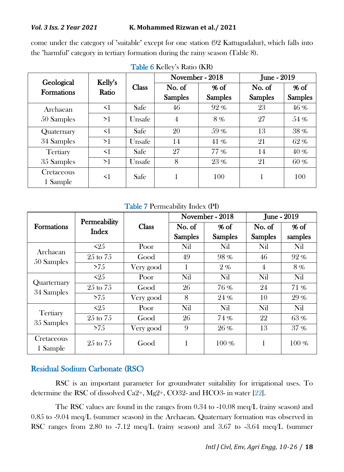come under the category of "suitable" except for one station (92 Kattugudalur), which falls into the "harmful" category in tertiary formation during the rainy season (Table 8).

| Geological             | Kelly's  |              | November - 2018 |                | June - 2019    |                |
|------------------------|----------|--------------|-----------------|----------------|----------------|----------------|
| <b>Formations</b>      | Ratio    | <b>Class</b> | No. of          | % of           | No. of         | $%$ of         |
|                        |          |              | <b>Samples</b>  | <b>Samples</b> | <b>Samples</b> | <b>Samples</b> |
| Archaean               | $\leq$ 1 | Safe         | 46              | 92 %           | 23             | 46 %           |
| 50 Samples             | >1       | Unsafe       | 4               | 8%             | 27             | 54 %           |
| Quaternary             | $\leq$ 1 | Safe         | 20              | 59 %           | 13             | 38 %           |
| 34 Samples             | >1       | Unsafe       | 14              | 41 %           | 21             | 62 %           |
| <b>Tertiary</b>        | $\leq$ 1 | Safe         | 27              | 77 %           | 14             | 40 %           |
| 35 Samples             | >1       | Unsafe       | 8               | 23 %           | 21             | 60 %           |
| Cretaceous<br>1 Sample | $\leq$ 1 | Safe         | 1               | 100            |                | 100            |

Table 6 Kelley's Ratio (KR)

Table 7 Permeability Index (PI)

|                           | <b>Permeability</b> |                                                                                                                                  |                |                | June - 2019    |         |
|---------------------------|---------------------|----------------------------------------------------------------------------------------------------------------------------------|----------------|----------------|----------------|---------|
| <b>Formations</b>         | Index               | <b>Class</b>                                                                                                                     | No. of         | $%$ of         | No. of         | $%$ of  |
|                           |                     |                                                                                                                                  | <b>Samples</b> | <b>Samples</b> | <b>Samples</b> | samples |
| Archaean                  | $\leq 2.5$          | Poor                                                                                                                             | Nil            | Nil            | Nil            | Nil     |
| 50 Samples                | $25$ to $75$        | Good                                                                                                                             | 49             | 98 %           | 46             | 92%     |
|                           | >75                 | Very good                                                                                                                        | 1              | 2%             | 4              | 8%      |
|                           | $\leq$ 25           | Poor                                                                                                                             | Nil            | Nil            | Nil            | Nil     |
| Quarternary<br>34 Samples | $25$ to $75$        | Good                                                                                                                             | 26             | 76 %           | 24             | 71 %    |
|                           | >75                 | November - 2018<br>8<br>24 %<br>Very good<br>Nil<br>Poor<br>Nil<br>26<br>74 %<br>Good<br>9<br>26 %<br>Very good<br>100 %<br>Good | 10             | 29 %           |                |         |
| Tertiary                  | $\triangleleft 25$  |                                                                                                                                  |                |                | Nil            | Nil     |
| 35 Samples                | $25$ to $75$        |                                                                                                                                  |                |                | 22             | 63%     |
|                           | >75                 |                                                                                                                                  |                |                | 13             | 37 %    |
| Cretaceous<br>1 Sample    | $25$ to $75$        |                                                                                                                                  |                |                | 1              | 100 %   |

# Residual Sodium Carbonate (RSC)

RSC is an important parameter for groundwater suitability for irrigational uses. To determine the RSC of dissolved Ca2+, Mg2+, CO32- and HCO3- in water [22].

The RSC values are found in the ranges from 0.34 to -10.08 meq/L (rainy season) and 0.85 to -9.04 meq/L (summer season) in the Archaean. Quaternary formation was observed in RSC ranges from 2.80 to -7.12 meq/L (rainy season) and 3.67 to -3.64 meq/L (summer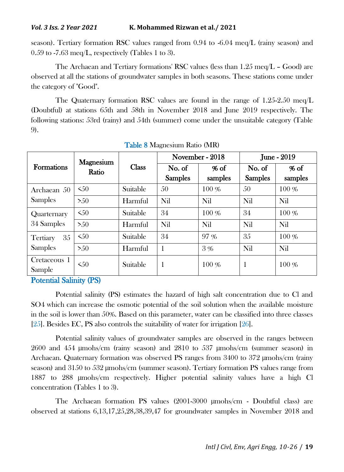season). Tertiary formation RSC values ranged from 0.94 to -6.04 meq/L (rainy season) and  $0.59$  to  $-7.63$  meg/L, respectively (Tables 1 to 3).

The Archaean and Tertiary formations' RSC values (less than 1.25 meq/L – Good) are observed at all the stations of groundwater samples in both seasons. These stations come under the category of "Good".

The Quaternary formation RSC values are found in the range of 1.25-2.50 meq/L (Doubtful) at stations 65th and 58th in November 2018 and June 2019 respectively. The following stations: 53rd (rainy) and 54th (summer) come under the unsuitable category (Table 9).

|                        | Magnesium |              |                | November - 2018 | June - $2019$  |         |
|------------------------|-----------|--------------|----------------|-----------------|----------------|---------|
| <b>Formations</b>      | Ratio     | <b>Class</b> | No. of         | $%$ of          | No. of         | % of    |
|                        |           |              | <b>Samples</b> | samples         | <b>Samples</b> | samples |
| Archaean 50            | 50<       | Suitable     | 50             | $100\%$         | 50             | 100 %   |
| Samples                | > 50      | Harmful      | Nil            | Nil             | Nil            | Nil     |
| Quarternary            | $\leq 50$ | Suitable     | 34             | 100 %           | 34             | 100 %   |
| 34 Samples             | > 50      | Harmful      | Nil            | Nil             | Nil            | Nil     |
| 35<br>Tertiary         | 550       | Suitable     | 34             | 97 %            | 35             | 100 %   |
| Samples                | > 50      | Harmful      | 1              | 3%              | Nil            | Nil     |
| Cretaceous 1<br>Sample | $\leq 50$ | Suitable     | 1              | 100 %           |                | 100 %   |

Table 8 Magnesium Ratio (MR)

Potential Salinity (PS)

Potential salinity (PS) estimates the hazard of high salt concentration due to Cl and SO4 which can increase the osmotic potential of the soil solution when the available moisture in the soil is lower than 50%. Based on this parameter, water can be classified into three classes [25]. Besides EC, PS also controls the suitability of water for irrigation [26].

Potential salinity values of groundwater samples are observed in the ranges between 2600 and 454 µmohs/cm (rainy season) and 2810 to 537 µmohs/cm (summer season) in Archaean. Quaternary formation was observed PS ranges from 3400 to 372 µmohs/cm (rainy season) and 3150 to 532 µmohs/cm (summer season). Tertiary formation PS values range from 1887 to 288 µmohs/cm respectively. Higher potential salinity values have a high Cl concentration (Tables 1 to 3).

The Archaean formation PS values (2001-3000 µmohs/cm - Doubtful class) are observed at stations 6,13,17,25,28,38,39,47 for groundwater samples in November 2018 and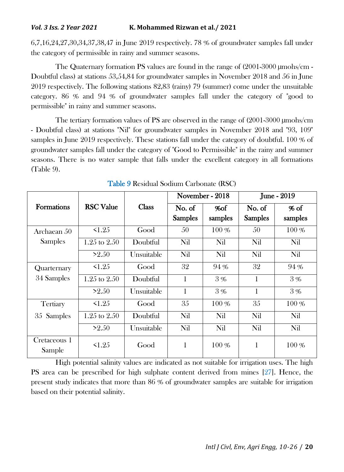6,7,16,24,27,30,34,37,38,47 in June 2019 respectively. 78 % of groundwater samples fall under the category of permissible in rainy and summer seasons.

The Quaternary formation PS values are found in the range of (2001-3000 µmohs/cm - Doubtful class) at stations 53,54,84 for groundwater samples in November 2018 and 56 in June 2019 respectively. The following stations 82,83 (rainy) 79 (summer) come under the unsuitable category. 86 % and 94 % of groundwater samples fall under the category of "good to permissible" in rainy and summer seasons.

The tertiary formation values of  $PS$  are observed in the range of  $(2001-3000 \text{ umohs/cm})$ - Doubtful class) at stations "Nil" for groundwater samples in November 2018 and "93, 109" samples in June 2019 respectively. These stations fall under the category of doubtful. 100 % of groundwater samples fall under the category of "Good to Permissible" in the rainy and summer seasons. There is no water sample that falls under the excellent category in all formations (Table 9).

|                        |                  |              |                | November - 2018 | <b>June - 2019</b> |         |
|------------------------|------------------|--------------|----------------|-----------------|--------------------|---------|
| <b>Formations</b>      | <b>RSC Value</b> | <b>Class</b> | No. of         | <b>%of</b>      | No. of             | % of    |
|                        |                  |              | <b>Samples</b> | samples         | <b>Samples</b>     | samples |
| Archaean 50            | $\leq 1.25$      | Good         | 50             | 100 %           | 50                 | $100\%$ |
| Samples                | $1.25$ to $2.50$ | Doubtful     | Nil            | Nil             | Nil                | Nil     |
|                        | >2.50            | Unsuitable   | Nil            | Nil             | Nil                | Nil     |
| Quarternary            | $\leq 1.25$      | Good         | 32             | 94 %            | 32                 | 94 %    |
| 34 Samples             | $1.25$ to $2.50$ | Doubtful     | $\mathbf{1}$   | 3%              | 1                  | 3%      |
|                        | >2.50            | Unsuitable   | 1              | 3%              | 1                  | 3%      |
| <b>Tertiary</b>        | $\leq 1.25$      | Good         | 35             | 100 %           | 35                 | $100\%$ |
| <b>Samples</b><br>35   | $1.25$ to $2.50$ | Doubtful     | Nil            | Nil             | Nil                | Nil     |
|                        | >2.50            | Unsuitable   | Nil            | Nil             | Nil                | Nil     |
| Cretaceous 1<br>Sample | $\leq 1.25$      | Good         | 1              | $100\%$         | 1                  | $100\%$ |

Table 9 Residual Sodium Carbonate (RSC)

High potential salinity values are indicated as not suitable for irrigation uses. The high PS area can be prescribed for high sulphate content derived from mines [27]. Hence, the present study indicates that more than 86 % of groundwater samples are suitable for irrigation based on their potential salinity.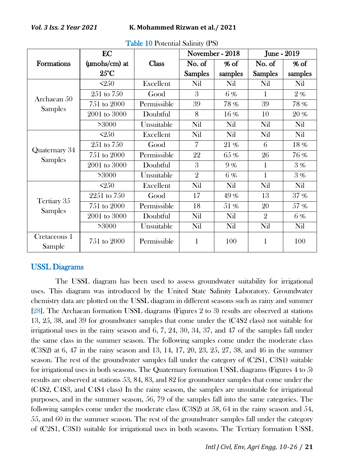|                          | EC                |              |                                                                                                                                                                                                                                                                                      |         | June - 2019    |         |  |
|--------------------------|-------------------|--------------|--------------------------------------------------------------------------------------------------------------------------------------------------------------------------------------------------------------------------------------------------------------------------------------|---------|----------------|---------|--|
| Formations               | $\mu$ mohs/cm) at | <b>Class</b> | No. of                                                                                                                                                                                                                                                                               | % of    | No. of         | % of    |  |
|                          | $25^{\circ}$ C    |              | <b>Samples</b>                                                                                                                                                                                                                                                                       | samples | <b>Samples</b> | samples |  |
|                          | $\leq 250$        | Excellent    | Nil                                                                                                                                                                                                                                                                                  | Nil     | Nil            | Nil     |  |
| Archaean 50              | 251 to 750        | Good         | 3                                                                                                                                                                                                                                                                                    | 6 %     | 1              | $2\,\%$ |  |
| Samples                  | 751 to 2000       | Permissible  | 39                                                                                                                                                                                                                                                                                   | 78 %    | 39             | 78 %    |  |
|                          | 2001 to 3000      | Doubtful     | 8                                                                                                                                                                                                                                                                                    | 16 %    | 10             | 20 %    |  |
|                          | >3000             | Unsuitable   | November - 2018<br>Nil<br>Nil<br>Nil<br>Nil<br>Nil<br>Nil<br>7<br>21 %<br>6<br>26<br>22<br>65 %<br>3<br>9%<br>1<br>$\overline{2}$<br>6 %<br>1<br>Nil<br>Nil<br>Nil<br>17<br>49 %<br>13<br>18<br>20<br>$51\,\%$<br>$\overline{2}$<br>Nil<br>Nil<br>Nil<br>Nil<br>Nil<br>100<br>1<br>1 | Nil     |                |         |  |
|                          | $\leq 250$        | Excellent    |                                                                                                                                                                                                                                                                                      |         |                | Nil     |  |
|                          | 251 to 750        | Good         |                                                                                                                                                                                                                                                                                      |         |                | 18%     |  |
| Quaternary 34<br>Samples | 751 to 2000       | Permissible  |                                                                                                                                                                                                                                                                                      |         |                | 76 %    |  |
|                          | 2001 to 3000      | Doubtful     |                                                                                                                                                                                                                                                                                      |         |                | 3%      |  |
|                          | >3000             | Unsuitable   |                                                                                                                                                                                                                                                                                      |         |                | 3%      |  |
|                          | 5250              | Excellent    |                                                                                                                                                                                                                                                                                      |         |                | Nil     |  |
| Tertiary 35              | 2251 to 750       | Good         |                                                                                                                                                                                                                                                                                      |         |                | 37 %    |  |
| Samples                  | 751 to 2000       | Permissible  |                                                                                                                                                                                                                                                                                      |         |                | 57 %    |  |
|                          | 2001 to 3000      | Doubtful     |                                                                                                                                                                                                                                                                                      |         |                | 6 %     |  |
|                          | >3000             | Unsuitable   |                                                                                                                                                                                                                                                                                      |         |                | Nil     |  |
| Cretaceous 1<br>Sample   | 751 to 2000       | Permissible  |                                                                                                                                                                                                                                                                                      |         |                | 100     |  |

Table 10 Potential Salinity (PS)

# USSL Diagrams

The USSL diagram has been used to assess groundwater suitability for irrigational uses. This diagram was introduced by the United State Salinity Laboratory. Groundwater chemistry data are plotted on the USSL diagram in different seasons such as rainy and summer [28]. The Archaean formation USSL diagrams (Figures 2 to 3) results are observed at stations 13, 25, 38, and 39 for groundwater samples that come under the (C4S2 class) not suitable for irrigational uses in the rainy season and 6, 7, 24, 30, 34, 37, and 47 of the samples fall under the same class in the summer season. The following samples come under the moderate class (C3S2) at 6, 47 in the rainy season and 13, 14, 17, 20, 23, 25, 27, 38, and 46 in the summer season. The rest of the groundwater samples fall under the category of (C2S1, C3S1) suitable for irrigational uses in both seasons. The Quaternary formation USSL diagrams (Figures 4 to 5) results are observed at stations 53, 84, 83, and 82 for groundwater samples that come under the (C4S2, C4S3, and C4S4 class) In the rainy season, the samples are unsuitable for irrigational purposes, and in the summer season, 56, 79 of the samples fall into the same categories. The following samples come under the moderate class (C3S2) at 58, 64 in the rainy season and 54, 55, and 60 in the summer season. The rest of the groundwater samples fall under the category of (C2S1, C3S1) suitable for irrigational uses in both seasons. The Tertiary formation USSL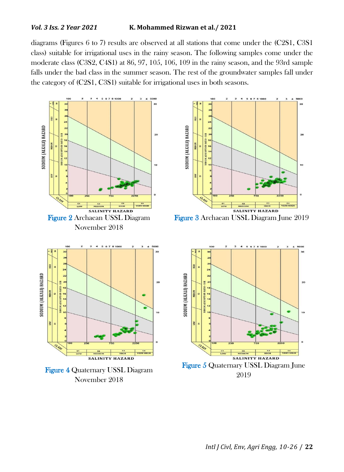diagrams (Figures 6 to 7) results are observed at all stations that come under the (C2S1, C3S1 class) suitable for irrigational uses in the rainy season. The following samples come under the moderate class (C3S2, C4S1) at 86, 97, 105, 106, 109 in the rainy season, and the 93rd sample falls under the bad class in the summer season. The rest of the groundwater samples fall under the category of (C2S1, C3S1) suitable for irrigational uses in both seasons.



Figure 4 Quaternary USSL Diagram November 2018

*Intl J Civl, Env, Agri Engg, 10-26* / **22**

2019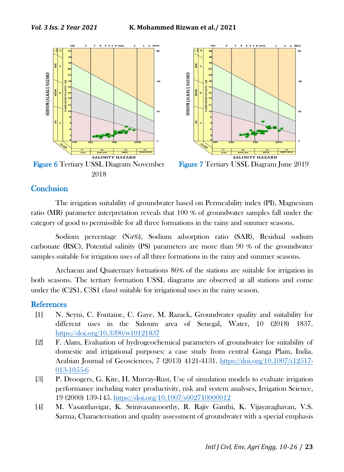

# **Conclusion**

The irrigation suitability of groundwater based on Permeability index (PI), Magnesium ratio (MR) parameter interpretation reveals that 100 % of groundwater samples fall under the category of good to permissible for all three formations in the rainy and summer seasons.

Sodium percentage (Na%), Sodium adsorption ratio (SAR), Residual sodium carbonate (RSC), Potential salinity (PS) parameters are more than 90 % of the groundwater samples suitable for irrigation uses of all three formations in the rainy and summer seasons.

Archaean and Quaternary formations 86% of the stations are suitable for irrigation in both seasons. The tertiary formation USSL diagrams are observed at all stations and come under the (C2S1, C3S1 class) suitable for irrigational uses in the rainy season.

### **References**

- [1] N. Seyni, C. Fontaine, C. Gaye, M. Razack, Groundwater quality and suitability for different uses in the Saloum area of Senegal, Water, 10 (2018) 1837. <https://doi.org/10.3390/w10121837>
- [2] F. Alam, Evaluation of hydrogeochemical parameters of groundwater for suitability of domestic and irrigational purposes: a case study from central Ganga Plain, India. Arabian Journal of Geosciences, 7 (2013) 4121-4131. [https://doi.org/10.1007/s12517-](https://doi.org/10.1007/s12517-013-1055-6) [013-1055-6](https://doi.org/10.1007/s12517-013-1055-6)
- [3] P. Droogers, G. Kite, H. Murray-Rust, Use of simulation models to evaluate irrigation performance including water productivity, risk and system analyses, Irrigation Science, 19 (2000) 139-145. <https://doi.org/10.1007/s002710000012>
- [4] M. Vasanthavigar, K. Srinivasamoorthy, R. Rajiv Ganthi, K. Vijayaraghavan, V.S. Sarma, Characterisation and quality assessment of groundwater with a special emphasis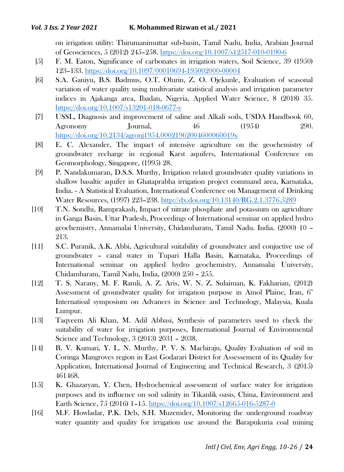on irrigation utility: Thirumanimuttar sub-basin, Tamil Nadu, India, Arabian Journal of Geosciences, 5 (2012) 245–258.<https://doi.org/10.1007/s12517-010-0190-6>

- [5] F. M. Eaton, Significance of carbonates in irrigation waters, Soil Science, 39 (1950) 123–133.<https://doi.org/10.1097/00010694-195002000-00004>
- [6] S.A. Ganiyu, B.S. Badmus, O.T. Olurin, Z. O. Ojekunle, Evaluation of seasonal variation of water quality using multivariate statistical analysis and irrigation parameter indices in Ajakanga area, Ibadan, Nigeria, Applied Water Science, 8 (2018) 35. <https://doi.org/10.1007/s13201-018-0677-y>
- [7] USSL, Diagnosis and improvement of saline and Alkali soils, USDA Handbook 60, Agronomy Journal, 46 (1954) 290. <https://doi.org/10.2134/agronj1954.00021962004600060019x>
- [8] E. C. Alexander, The impact of intensive agriculture on the geochemistry of groundwater recharge in regional Karst aquifers, International Conference on Geomorphology, Singapore, (1995) 28.
- [9] P. Nandakumaran, D.S.S. Murthy, Irrigation related groundwater quality variations in shallow basaltic aquifer in Ghataprabha irrigation project command area, Karnataka, India. - A Statistical Evaluation, International Conference on Management of Drinking Water Resources, (1997) 223–238.<http://dx.doi.org/10.13140/RG.2.1.3776.5289>
- [10] T.N. Sondhi, Ramprakash, Impact of nitrate phosphate and potassium on agriculture in Ganga Basin, Uttar Pradesh, Proceedings of International seminar on applied hydro geochemistry, Annamalai University, Chidambaram, Tamil Nadu. India. (2000) 10 – 213.
- [11] S.C. Puranik, A.K. Abbi, Agricultural suitability of groundwater and conjuctive use of groundwater – canal water in Tupari Halla Basin, Karnataka, Proceedings of International seminar on applied hydro geochemistry, Annamalai University, Chidambaram, Tamil Nadu, India, (2000) 250 – 255.
- [12] T. S. Narany, M. F. Ramli, A. Z. Aris, W. N. Z. Sulaiman, K. Fakharian, (2012) Assessment of groundwater quality for irrigation purpose in Amol Plaine, Iran,  $6<sup>th</sup>$ Internatioal symposium on Advances in Science and Technology, Malaysia, Kuala Lumpur.
- [13] Taqveem Ali Khan, M. Adil Abbasi, Synthesis of parameters used to check the suitability of water for irrigation purposes, International Journal of Environmental Science and Technology, 3 (2013) 2031 – 2038.
- [14] B. V. Kumari, Y. L. N. Murthy, P. V. S. Machiraju, Quality Evaluation of soil in Coringa Mangroves region in East Godarari District for Assessement of its Quality for Application, International Journal of Engineering and Technical Research, 3 (2015) 461468.
- [15] K. Ghazaryan, Y. Chen, Hydrochemical assessment of surface water for irrigation purposes and its influence on soil salinity in Tikanlik oasis, China, Environment and Earth Science, 75 (2016) 1–15.<https://doi.org/10.1007/s12665-016-5287-0>
- [16] M.F. Howladar, P.K. Deb, S.H. Muzemder, Monitoring the underground roadway water quantity and quality for irrigation use around the Barapukuria coal mining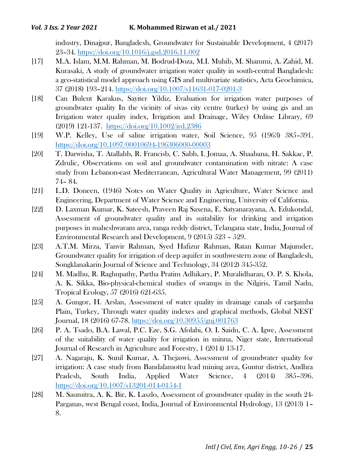industry, Dinajpur, Bangladesh, Groundwater for Sustainable Development, 4 (2017) 23–34.<https://doi.org/10.1016/j.gsd.2016.11.002>

- [17] M.A. Islam, M.M. Rahman, M. Bodrud-Doza, M.I. Muhib, M. Shammi, A. Zahid, M. Kurasaki, A study of groundwater irrigation water quality in south-central Bangladesh: a geo-statistical model approach using GIS and multivariate statistics, Acta Geochimica, 37 (2018) 193–214.<https://doi.org/10.1007/s11631-017-0201-3>
- [18] Can Bulent Karakus, Sayiter Yildiz, Evaluation for irrigation water purposes of groundwater quality In the vicinity of sivas city centre (turkey) by using gis and an Irrigation water quality index, Irrigation and Drainage, Wiley Online Library, 69 (2019) 121-137. <https://doi.org/10.1002/ird.2386>
- [19] W.P. Kelley, Use of saline irrigation water, Soil Science, 95 (1963) 385–391. <https://doi.org/10.1097/00010694-196306000-00003>
- [20] T. Darwisha, T. Atallahb, R. Francisb, C. Sabb, I. Jomaa, A. Shaabana, H. Sakkac, P. Zdrulic, Observations on soil and groundwater contamination with nitrate: A case study from Lebanon-east Mediterranean, Agricultural Water Management, 99 (2011) 74– 84.
- [21] L.D. Doneen, (1946) Notes on Water Quality in Agriculture, Water Science and Engineering, Department of Water Science and Engineering, University of California.
- [22] D. Laxman Kumar, K. Sateesh, Praveen Raj Saxena, E. Satyanarayana, A. Edukondal, Assessment of groundwater quality and its suitability for drinking and irrigation purposes in maheshwaram area, ranga reddy district, Telangana state, India, Journal of Environmental Research and Development, 9 (2015) 523 – 529.
- [23] A.T.M. Mirza, Tanvir Rahman, Syed Hafizur Rahman, Ratan Kumar Majumder, Groundwater quality for irrigation of deep aquifer in southwestern zone of Bangladesh, Songklanakarin Journal of Science and Technology, 34 (2012) 345-352.
- [24] M. Madhu, R. Raghupathy, Partha Pratim Adhikary, P. Muralidharan, O. P. S. Khola, A. K. Sikka, Bio-physical-chemical studies of swamps in the Nilgiris, Tamil Nadu, Tropical Ecology, 57 (2016) 621-635.
- [25] A. Gungor, H. Arslan, Assessment of water quality in drainage canals of carşamba Plain, Turkey, Through water quality indexes and graphical methods, Global NEST Journal, 18 (2016) 67-78.<https://doi.org/10.30955/gnj.001763>
- [26] P. A. Tsado, B.A. Lawal, P.C. Eze, S.G. Afolabi, O. I. Saidu, C. A. Igwe, Assessment of the suitability of water quality for irrigation in minna, Niger state, International Journal of Research in Agriculture and Forestry, 1 (2014) 13-17.
- [27] A. Nagaraju, K. Sunil Kumar, A. Thejaswi, Assessment of groundwater quality for irrigation: A case study from Bandalamottu lead mining area, Guntur district, Andhra Pradesh, South India, Applied Water Science, 4 (2014) 385–396. <https://doi.org/10.1007/s13201-014-0154-1>
- [28] M. Saumitra, A. K. Bir, K. Laszlo, Assessment of groundwater quality in the south 24- Parganas, west Bengal coast, India, Journal of Environmental Hydrology, 13 (2013) 1– 8.